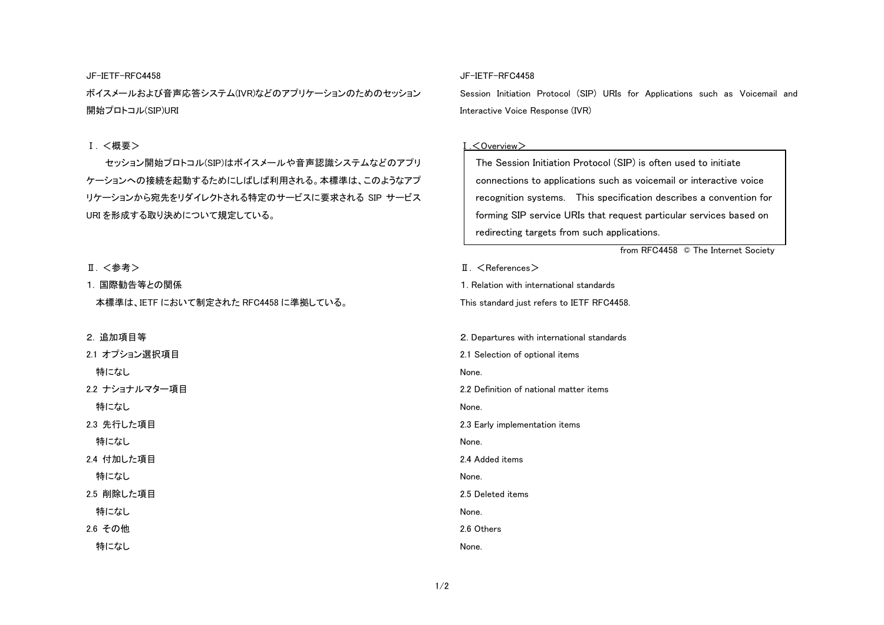JF-IETF-RFC4458 ボイスメールおよび音声応答システム(IVR)などのアプリケーションのためのセッション 開始プロトコル(SIP)URI

### Ⅰ. <概要>

セッション開始プロトコル(SIP)はボイスメールや音声認識システムなどのアプ ケーションへの接続を起動するためにしばしば利用される。本標準は、このようなアプリケーションから宛先をリダイレクトされる特定のサービスに要求される SIP サービ URI を形成する取り決めについて規定している。

Ⅱ. <参考>

1. 国際勧告等との関係

本標準は、IETF において制定された RFC4458 に準拠している。

2. 追加項目等

特になし 2.2 ナショナルマター項目 特になし 2.3 先行した項目 特になし

2.1 オプション選択項目

2.4 付加した項目

特になし

2.5 削除した項目

特になし

2.6 その他

特になし

#### JF-IETF-RFC4458

Session Initiation Protocol (SIP) URIs for Applications such as Voicemail and Interactive Voice Response (IVR)

#### Ⅰ.<Overview>

| 'nJ | The Session Initiation Protocol (SIP) is often used to initiate    |  |  |
|-----|--------------------------------------------------------------------|--|--|
| プ   | connections to applications such as voicemail or interactive voice |  |  |
| ス   | recognition systems. This specification describes a convention for |  |  |
|     | forming SIP service URIs that request particular services based on |  |  |
|     | redirecting targets from such applications.                        |  |  |
|     | from RFC4458 © The Internet Society                                |  |  |
|     | $\mathbb{I}$ . $\leq$ References $>$                               |  |  |
|     | 1. Relation with international standards                           |  |  |
|     | This standard just refers to IETF RFC4458.                         |  |  |
|     |                                                                    |  |  |
|     | 2. Departures with international standards                         |  |  |
|     | 2.1 Selection of optional items                                    |  |  |
|     | None.                                                              |  |  |
|     | 2.2 Definition of national matter items                            |  |  |
|     | None.                                                              |  |  |
|     | 2.3 Early implementation items                                     |  |  |
|     | None.                                                              |  |  |
|     | 2.4 Added items                                                    |  |  |
|     | None.                                                              |  |  |
|     | 2.5 Deleted items                                                  |  |  |
|     | None.                                                              |  |  |
|     | 2.6 Others                                                         |  |  |
|     | None.                                                              |  |  |